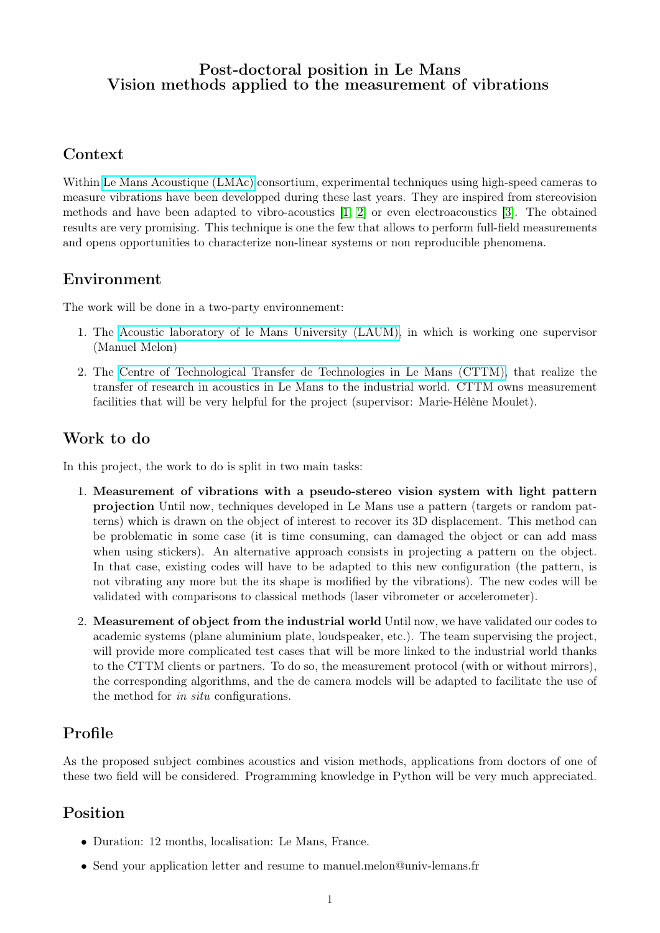#### Post-doctoral position in Le Mans Vision methods applied to the measurement of vibrations

### Context

Within [Le Mans Acoustique \(LMAc\)](http://www.lemans-acoustique.fr/) consortium, experimental techniques using high-speed cameras to measure vibrations have been developped during these last years. They are inspired from stereovision methods and have been adapted to vibro-acoustics [\[1,](#page-1-0) [2\]](#page-1-1) or even electroacoustics [\[3\]](#page-1-2). The obtained results are very promising. This technique is one the few that allows to perform full-field measurements and opens opportunities to characterize non-linear systems or non reproducible phenomena.

## Environment

The work will be done in a two-party environnement:

- 1. The [Acoustic laboratory of le Mans University \(LAUM\),](http://laum.univ-lemans.fr) in which is working one supervisor (Manuel Melon)
- 2. The [Centre of Technological Transfer de Technologies in Le Mans \(CTTM\),](http://www.cttm-lemans.com/) that realize the transfer of research in acoustics in Le Mans to the industrial world. CTTM owns measurement facilities that will be very helpful for the project (supervisor: Marie-Hélène Moulet).

## Work to do

In this project, the work to do is split in two main tasks:

- 1. Measurement of vibrations with a pseudo-stereo vision system with light pattern projection Until now, techniques developed in Le Mans use a pattern (targets or random patterns) which is drawn on the object of interest to recover its 3D displacement. This method can be problematic in some case (it is time consuming, can damaged the object or can add mass when using stickers). An alternative approach consists in projecting a pattern on the object. In that case, existing codes will have to be adapted to this new configuration (the pattern, is not vibrating any more but the its shape is modified by the vibrations). The new codes will be validated with comparisons to classical methods (laser vibrometer or accelerometer).
- 2. Measurement of object from the industrial world Until now, we have validated our codes to academic systems (plane aluminium plate, loudspeaker, etc.). The team supervising the project, will provide more complicated test cases that will be more linked to the industrial world thanks to the CTTM clients or partners. To do so, the measurement protocol (with or without mirrors), the corresponding algorithms, and the de camera models will be adapted to facilitate the use of the method for in situ configurations.

# Profile

As the proposed subject combines acoustics and vision methods, applications from doctors of one of these two field will be considered. Programming knowledge in Python will be very much appreciated.

# Position

- Duration: 12 months, localisation: Le Mans, France.
- Send your application letter and resume to manuel.melon@univ-lemans.fr